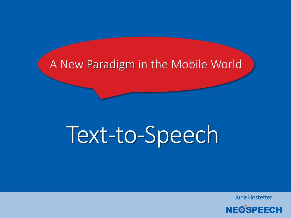#### A New Paradigm in the Mobile World

# Text-to-Speech

June Hostetter

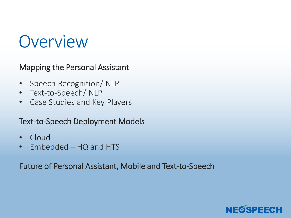#### **Overview**

Mapping the Personal Assistant

- Speech Recognition/ NLP
- Text-to-Speech/ NLP
- Case Studies and Key Players

Text-to-Speech Deployment Models

- Cloud
- Embedded HQ and HTS

Future of Personal Assistant, Mobile and Text-to-Speech

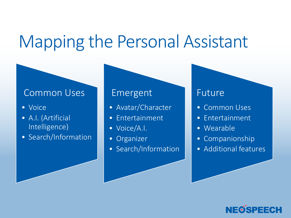#### Mapping the Personal Assistant

#### Common Uses

- Voice
- A.I. (Artificial Intelligence)
- Search/Information

#### Emergent

- Avatar/Character
- Entertainment
- Voice/A.I.
- Organizer
- Search/Information

#### Future

- Common Uses
- Entertainment
- Wearable
- Companionship
- Additional features

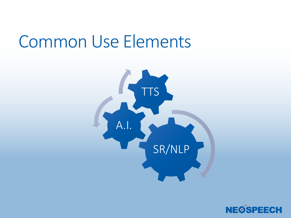#### Common Use Elements



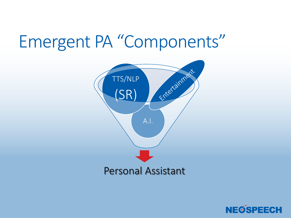#### Emergent PA "Components"



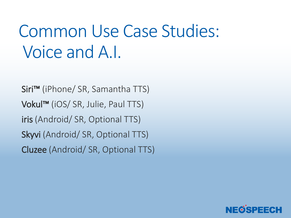### Common Use Case Studies: Voice and A.I.

 Siri™ (iPhone/ SR, Samantha TTS) Vokul™ (iOS/ SR, Julie, Paul TTS) iris (Android/ SR, Optional TTS) Skyvi (Android/ SR, Optional TTS) Cluzee (Android/ SR, Optional TTS)

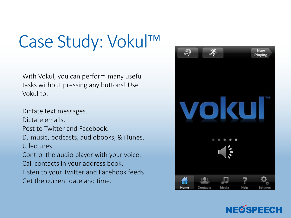#### Case Study: Vokul™

With Vokul, you can perform many useful tasks without pressing any buttons! Use Vokul to:

Dictate text messages. Dictate emails. Post to Twitter and Facebook. DJ music, podcasts, audiobooks, & iTunes. U lectures. Control the audio player with your voice. Call contacts in your address book. Listen to your Twitter and Facebook feeds. Get the current date and time.



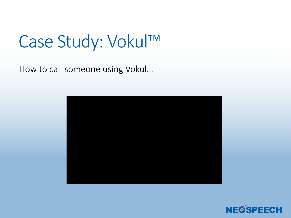#### Case Study: Vokul™

How to call someone using Vokul…



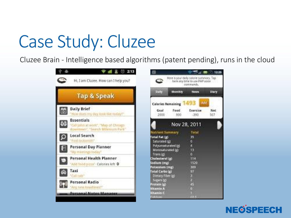### Case Study: Cluzee

Cluzee Brain - Intelligence based algorithms (patent pending), runs in the cloud



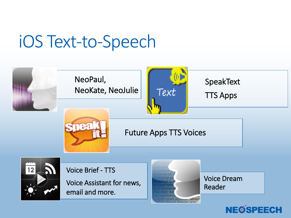#### iOS Text-to-Speech



Voice Assistant for news, email and more.



Voice Dream Reader

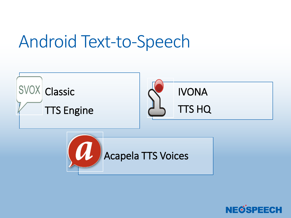#### Android Text-to-Speech



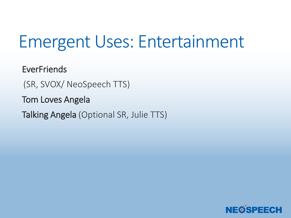#### Emergent Uses: Entertainment

**EverFriends** 

(SR, SVOX/ NeoSpeech TTS)

Tom Loves Angela

Talking Angela (Optional SR, Julie TTS)

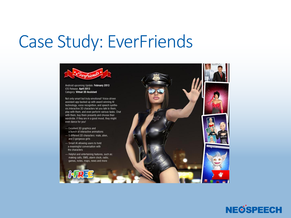#### Case Study: EverFriends



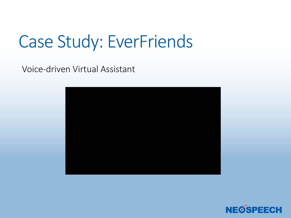#### Case Study: EverFriends

Voice-driven Virtual Assistant



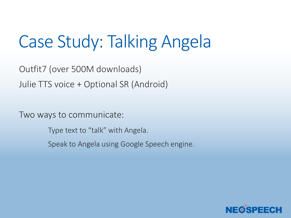## Case Study: Talking Angela

Outfit7 (over 500M downloads) Julie TTS voice + Optional SR (Android)

Two ways to communicate:

Type text to "talk" with Angela.

Speak to Angela using Google Speech engine.

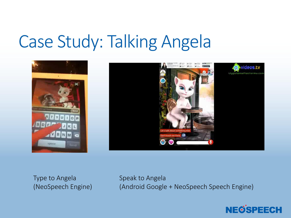#### Case Study: Talking Angela



Type to Angela (NeoSpeech Engine) Speak to Angela (Android Google + NeoSpeech Speech Engine)

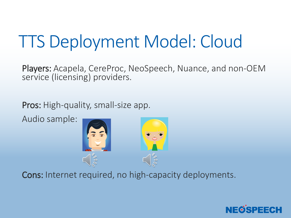## TTS Deployment Model: Cloud

 Players: Acapela, CereProc, NeoSpeech, Nuance, and non-OEM service (licensing) providers.

Pros: High-quality, small-size app.

Audio sample:



Cons: Internet required, no high-capacity deployments.

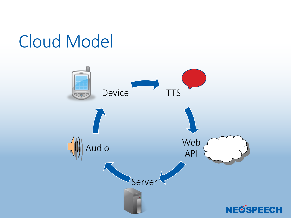#### Cloud Model

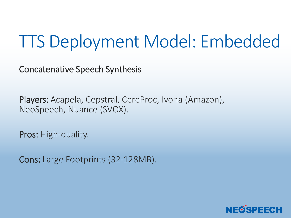#### TTS Deployment Model: Embedded

Concatenative Speech Synthesis

Players: Acapela, Cepstral, CereProc, Ivona (Amazon), NeoSpeech, Nuance (SVOX).

Pros: High-quality.

Cons: Large Footprints (32-128MB).

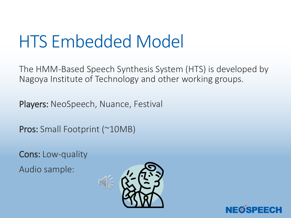#### HTS Embedded Model

The HMM-Based Speech Synthesis System (HTS) is developed by Nagoya Institute of Technology and other working groups.

Players: NeoSpeech, Nuance, Festival

Pros: Small Footprint (~10MB)

Cons: Low-quality

Audio sample:



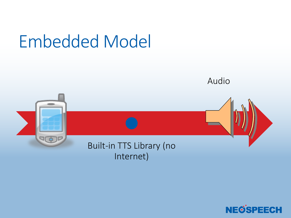#### Embedded Model



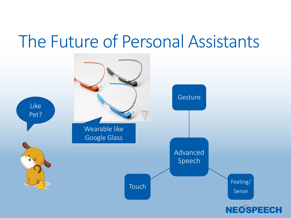#### The Future of Personal Assistants